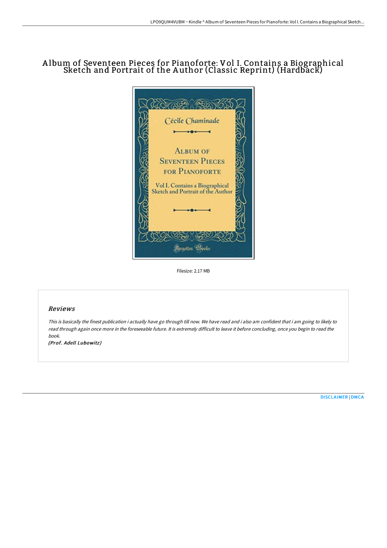# A lbum of Seventeen Pieces for Pianoforte: Vol I. Contains a Biographical Sketch and Portrait of the A uthor (Classic Reprint) (Hardback)



Filesize: 2.17 MB

#### Reviews

This is basically the finest publication i actually have go through till now. We have read and i also am confident that i am going to likely to read through again once more in the foreseeable future. It is extremely difficult to leave it before concluding, once you begin to read the book.

(Prof. Adell Lubowitz)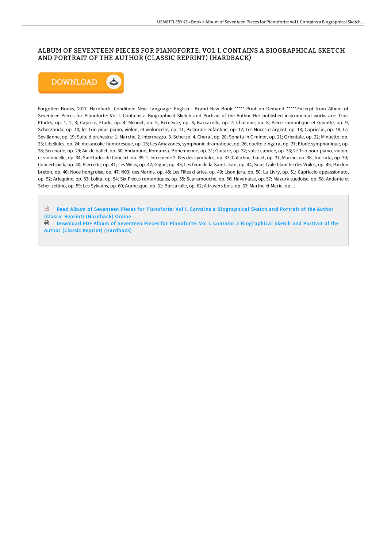## ALBUM OF SEVENTEEN PIECES FOR PIANOFORTE: VOL I. CONTAINS A BIOGRAPHICAL SKETCH AND PORTRAIT OF THE AUTHOR (CLASSIC REPRINT) (HARDBACK)



Forgotten Books, 2017. Hardback. Condition: New. Language: English . Brand New Book \*\*\*\*\* Print on Demand \*\*\*\*\*.Excerpt from Album of Seventeen Pieces for Pianoforte: Vol I. Contains a Biographical Sketch and Portrait of the Author Her published instrumental works are: Trois Etudes, op. 1, 2, 3; Caprice, Etude, op. 4; Menuet, op. 5; Berceuse, op. 6; Barcarolle, op. 7; Chacone, op. 8; Piece romantique et Gavotte, op. 9; Scherzando, op. 10; let Trio pour piano, violon, et violoncelle, op. 11; Pastorale enfantine, op. 12; Les Noces d argent, op. 13; Capriccio, op. 18; La Sevillanne, op. 19; Suite d orchestre: 1. Marche. 2. Intermezzo. 3. Scherzo. 4. Choral, op. 20; Sonata in C minor, op. 21; Orientale, op. 22; Minuetto, op. 23; Libellules, op. 24; melancolie-humoresque, op. 25; Les Amazones, symphonic dramatique, op. 26; duetto-zingara, op. 27; Etude symphonique, op. 28; Serenade, op. 29; Air de ballet, op. 30; Andantino, Romanza, Bohemienne, op. 31; Guitare, op. 32; valse-caprice, op. 33; 2e Trio pour piano, violon, et violoncelle, op. 34; Six Etudes de Concert, op. 35; 1. Intermede 2. Pas des cymbales, op. 37; Callirhoe, ballet, op. 37; Marine, op. 38; Toc cata, op. 39; Concertstiick, op. 40; Pierrette, op. 41; Les Willis, op. 42; Gigue, op. 43; Les feux de la Saint Jean, op. 44; Sous l aile blanche des Voiles, op. 45; Pardon breton, op. 46; Noce hongroise, op. 47; N03] des Marins, op. 48; Les Filles d arles, op. 49; Lison jera, op. 50; La Livry, op. 51; Capriccio appassionato, op. 52; Arlequine, op. 53; Lolita, op. 54; Six Pieces romantiques, op. 55; Scaramouche, op. 56; Havanaise, op. 57; Mazurk suedoise, op. 58; Andante et Scher zettino, op. 59; Les Sylvains, op. 60; Arabesque, op. 61; Barcarolle, op. 62; A travers bois, op. 63; Marthe et Marie, op....

 $\sqrt{2}$ Read Album of Seventeen Pieces for Pianoforte: Vol I. Contains a [Biographical](http://albedo.media/album-of-seventeen-pieces-for-pianoforte-vol-i-c-1.html) Sketch and Portrait of the Author (Classic Reprint) (Hardback) Online

Download PDF Album of Seventeen Pieces for Pianoforte: Vol I. Contains a [Biographical](http://albedo.media/album-of-seventeen-pieces-for-pianoforte-vol-i-c-1.html) Sketch and Portrait of the Author (Classic Reprint) (Hardback)